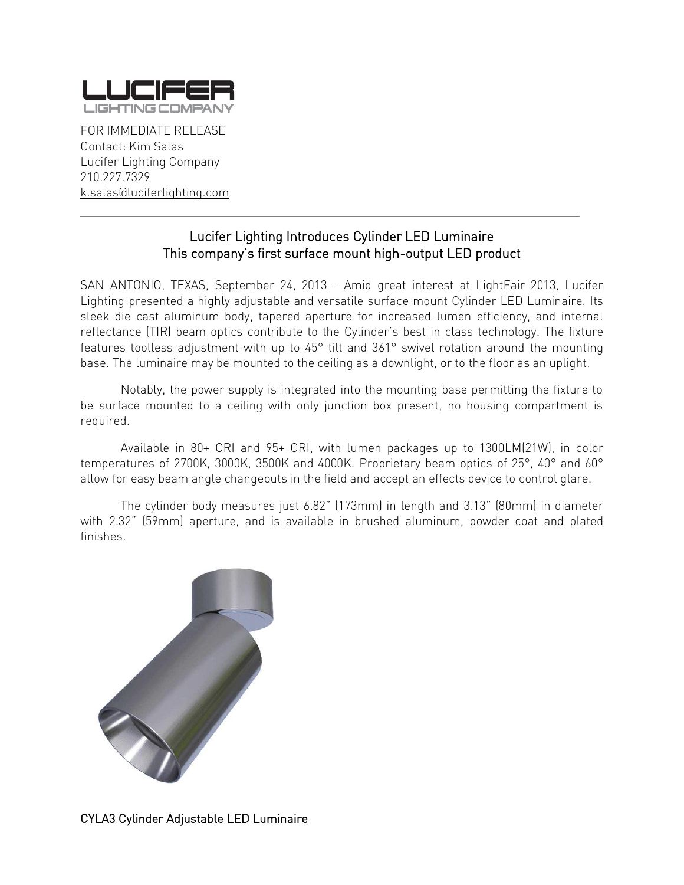

FOR IMMEDIATE RELEASE Contact: Kim Salas Lucifer Lighting Company 210.227.7329 [k.salas@luciferlighting.com](mailto:k.salas@luciferlighting.com)

## Lucifer Lighting Introduces Cylinder LED Luminaire This company's first surface mount high-output LED product

\_\_\_\_\_\_\_\_\_\_\_\_\_\_\_\_\_\_\_\_\_\_\_\_\_\_\_\_\_\_\_\_\_\_\_\_\_\_\_\_\_\_\_\_\_\_\_\_\_\_\_\_\_\_\_\_\_\_\_\_\_\_\_\_\_\_\_\_\_\_\_\_\_\_\_\_\_\_\_

SAN ANTONIO, TEXAS, September 24, 2013 - Amid great interest at LightFair 2013, Lucifer Lighting presented a highly adjustable and versatile surface mount Cylinder LED Luminaire. Its sleek die-cast aluminum body, tapered aperture for increased lumen efficiency, and internal reflectance (TIR) beam optics contribute to the Cylinder's best in class technology. The fixture features toolless adjustment with up to 45° tilt and 361° swivel rotation around the mounting base. The luminaire may be mounted to the ceiling as a downlight, or to the floor as an uplight.

Notably, the power supply is integrated into the mounting base permitting the fixture to be surface mounted to a ceiling with only junction box present, no housing compartment is required.

Available in 80+ CRI and 95+ CRI, with lumen packages up to 1300LM(21W), in color temperatures of 2700K, 3000K, 3500K and 4000K. Proprietary beam optics of 25°, 40° and 60° allow for easy beam angle changeouts in the field and accept an effects device to control glare.

The cylinder body measures just 6.82" (173mm) in length and 3.13" (80mm) in diameter with 2.32" (59mm) aperture, and is available in brushed aluminum, powder coat and plated finishes.